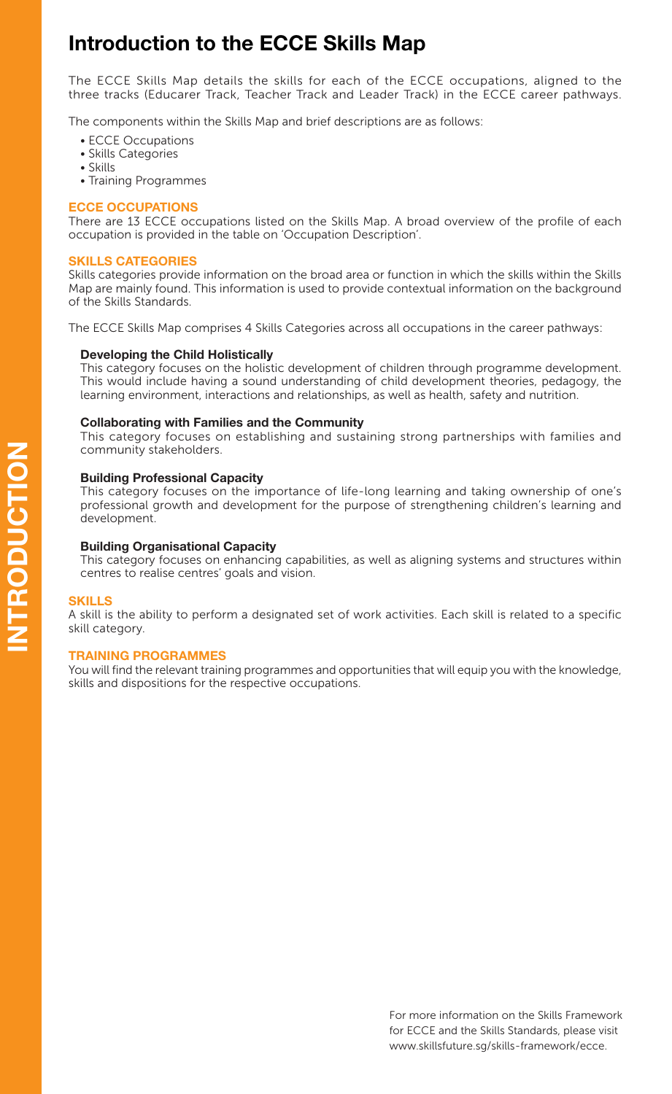# **Introduction to the ECCE Skills Map**

The ECCE Skills Map details the skills for each of the ECCE occupations, aligned to the three tracks (Educarer Track, Teacher Track and Leader Track) in the ECCE career pathways.

The components within the Skills Map and brief descriptions are as follows:

- ECCE Occupations
- Skills Categories
- Skills
- Training Programmes

## **ECCE OCCUPATIONS**

There are 13 ECCE occupations listed on the Skills Map. A broad overview of the profile of each occupation is provided in the table on 'Occupation Description'.

## **SKILLS CATEGORIES**

Skills categories provide information on the broad area or function in which the skills within the Skills Map are mainly found. This information is used to provide contextual information on the background of the Skills Standards.

The ECCE Skills Map comprises 4 Skills Categories across all occupations in the career pathways:

## **Developing the Child Holistically**

This category focuses on the holistic development of children through programme development. This would include having a sound understanding of child development theories, pedagogy, the learning environment, interactions and relationships, as well as health, safety and nutrition.

## **Collaborating with Families and the Community**

This category focuses on establishing and sustaining strong partnerships with families and community stakeholders.

#### **Building Professional Capacity**

This category focuses on the importance of life-long learning and taking ownership of one's professional growth and development for the purpose of strengthening children's learning and development.

#### **Building Organisational Capacity**

This category focuses on enhancing capabilities, as well as aligning systems and structures within centres to realise centres' goals and vision.

#### **SKILLS**

A skill is the ability to perform a designated set of work activities. Each skill is related to a specific skill category.

#### **TRAINING PROGRAMMES**

You will find the relevant training programmes and opportunities that will equip you with the knowledge, skills and dispositions for the respective occupations.